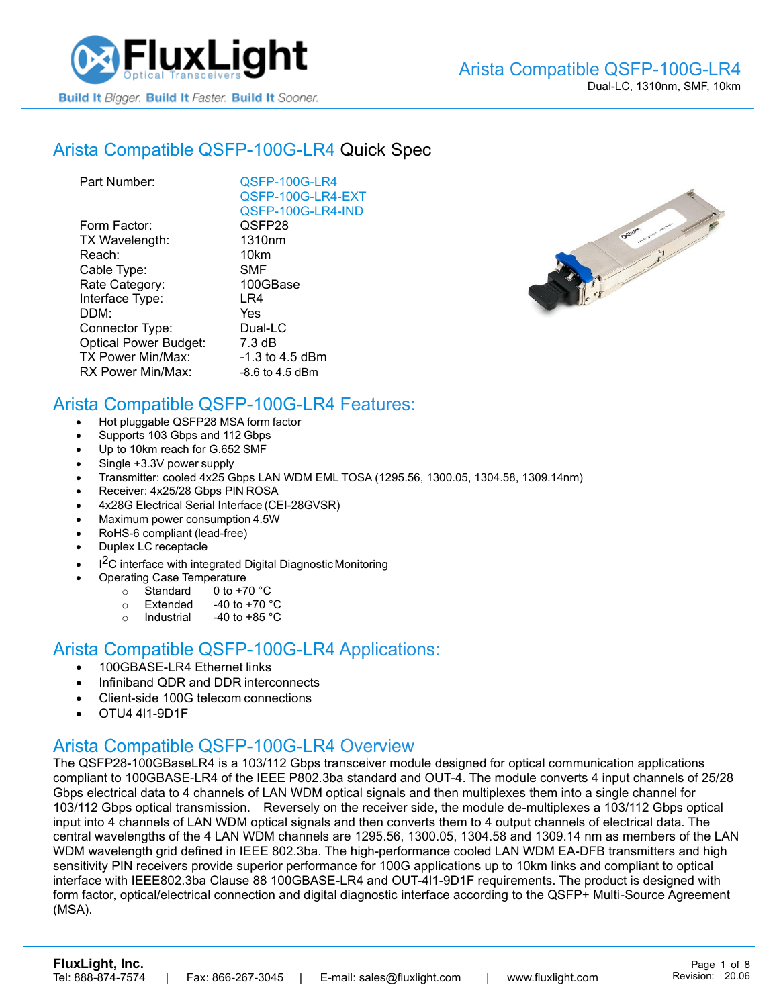

#### Arista [Compatible QSFP-100G-LR4](https://www.fluxlight.com/qsfp-100g-lr4/) Quick Spec

| QSFP-100G-LR4      |
|--------------------|
| QSFP-100G-LR4-EXT  |
| QSFP-100G-LR4-IND  |
| QSFP28             |
| 1310 <sub>nm</sub> |
| 10km               |
| <b>SMF</b>         |
| 100GBase           |
| LR4                |
| Yes                |
| Dual-LC            |
| 7.3 dB             |
| -1.3 to 4.5 dBm    |
| -8.6 to 4.5 dBm    |
|                    |



#### Arista Compatible [QSFP-100G-LR4](https://www.fluxlight.com/qsfp-100g-lr4/) Features:

- Hot pluggable QSFP28 MSA form factor
- Supports 103 Gbps and 112 Gbps
- Up to 10km reach for G.652 SMF
- Single +3.3V power supply
- Transmitter: cooled 4x25 Gbps LAN WDM EML TOSA (1295.56, 1300.05, 1304.58, 1309.14nm)
- Receiver: 4x25/28 Gbps PIN ROSA
- 4x28G Electrical Serial Interface (CEI-28GVSR)
- Maximum power consumption 4.5W
- RoHS-6 compliant (lead-free)
- Duplex LC receptacle
- I<sup>2</sup>C interface with integrated Digital Diagnostic Monitoring
	- Operating Case Temperature
		- $\circ$  Standard 0 to +70 °C
		- $\circ$  Extended -40 to +70  $\degree$ C
		- o Industrial  $-40$  to  $+85$  °C

#### Arista Compatible [QSFP-100G-LR4](https://www.fluxlight.com/qsfp-100g-lr4/) Applications:

- 100GBASE-LR4 Ethernet links
- Infiniband QDR and DDR interconnects
- Client-side 100G telecom connections
- OTU4 4l1-9D1F

## Arista Compatible [QSFP-100G-LR4](https://www.fluxlight.com/qsfp-100g-lr4/) Overview

The QSFP28-100GBaseLR4 is a 103/112 Gbps transceiver module designed for optical communication applications compliant to 100GBASE-LR4 of the IEEE P802.3ba standard and OUT-4. The module converts 4 input channels of 25/28 Gbps electrical data to 4 channels of LAN WDM optical signals and then multiplexes them into a single channel for 103/112 Gbps optical transmission. Reversely on the receiver side, the module de-multiplexes a 103/112 Gbps optical input into 4 channels of LAN WDM optical signals and then converts them to 4 output channels of electrical data. The central wavelengths of the 4 LAN WDM channels are 1295.56, 1300.05, 1304.58 and 1309.14 nm as members of the LAN WDM wavelength grid defined in IEEE 802.3ba. The high-performance cooled LAN WDM EA-DFB transmitters and high sensitivity PIN receivers provide superior performance for 100G applications up to 10km links and compliant to optical interface with IEEE802.3ba Clause 88 100GBASE-LR4 and OUT-4l1-9D1F requirements. The product is designed with form factor, optical/electrical connection and digital diagnostic interface according to the QSFP+ Multi-Source Agreement (MSA).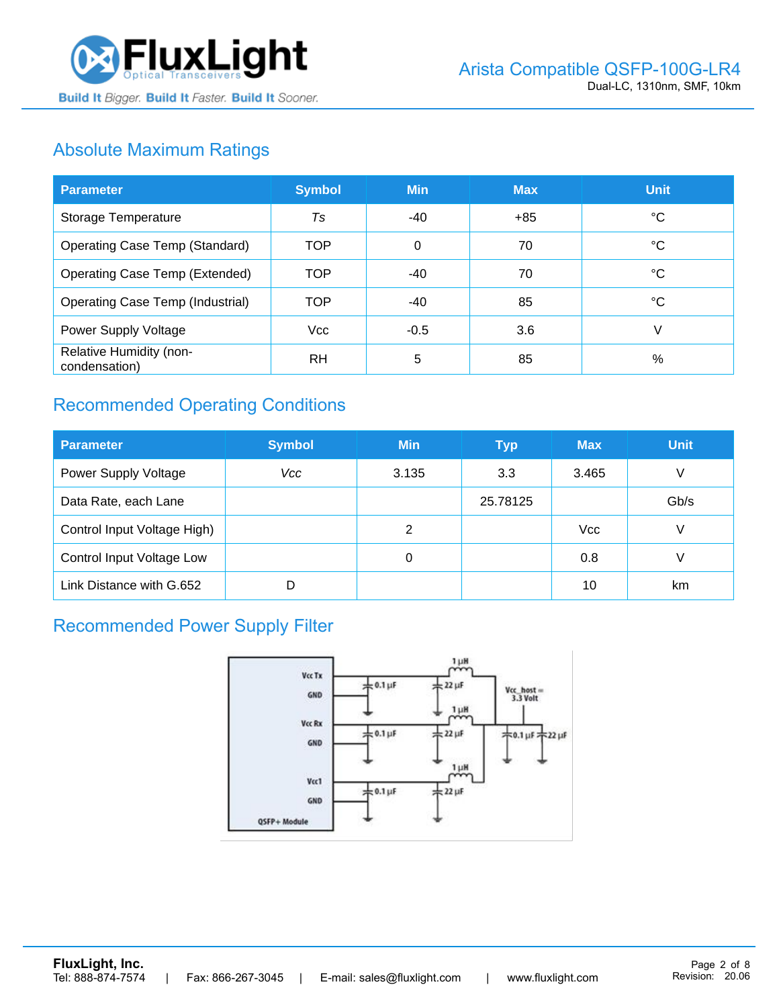

# Absolute Maximum Ratings

| <b>Parameter</b>                         | <b>Symbol</b> | <b>Min</b> | <b>Max</b> | <b>Unit</b> |
|------------------------------------------|---------------|------------|------------|-------------|
| Storage Temperature                      | Ts            | -40        | $+85$      | ℃           |
| <b>Operating Case Temp (Standard)</b>    | <b>TOP</b>    | $\Omega$   | 70         | °C          |
| <b>Operating Case Temp (Extended)</b>    | <b>TOP</b>    | $-40$      | 70         | °C          |
| <b>Operating Case Temp (Industrial)</b>  | <b>TOP</b>    | -40        | 85         | °C          |
| Power Supply Voltage                     | <b>Vcc</b>    | $-0.5$     | 3.6        | V           |
| Relative Humidity (non-<br>condensation) | <b>RH</b>     | 5          | 85         | %           |

# Recommended Operating Conditions

| <b>Parameter</b>            | <b>Symbol</b> | <b>Min</b> | <b>Typ</b> | <b>Max</b> | <b>Unit</b> |
|-----------------------------|---------------|------------|------------|------------|-------------|
| Power Supply Voltage        | Vcc           | 3.135      | 3.3        | 3.465      | V           |
| Data Rate, each Lane        |               |            | 25.78125   |            | Gb/s        |
| Control Input Voltage High) |               | 2          |            | <b>Vcc</b> | V           |
| Control Input Voltage Low   |               | 0          |            | 0.8        |             |
| Link Distance with G.652    |               |            |            | 10         | km          |

# Recommended Power Supply Filter

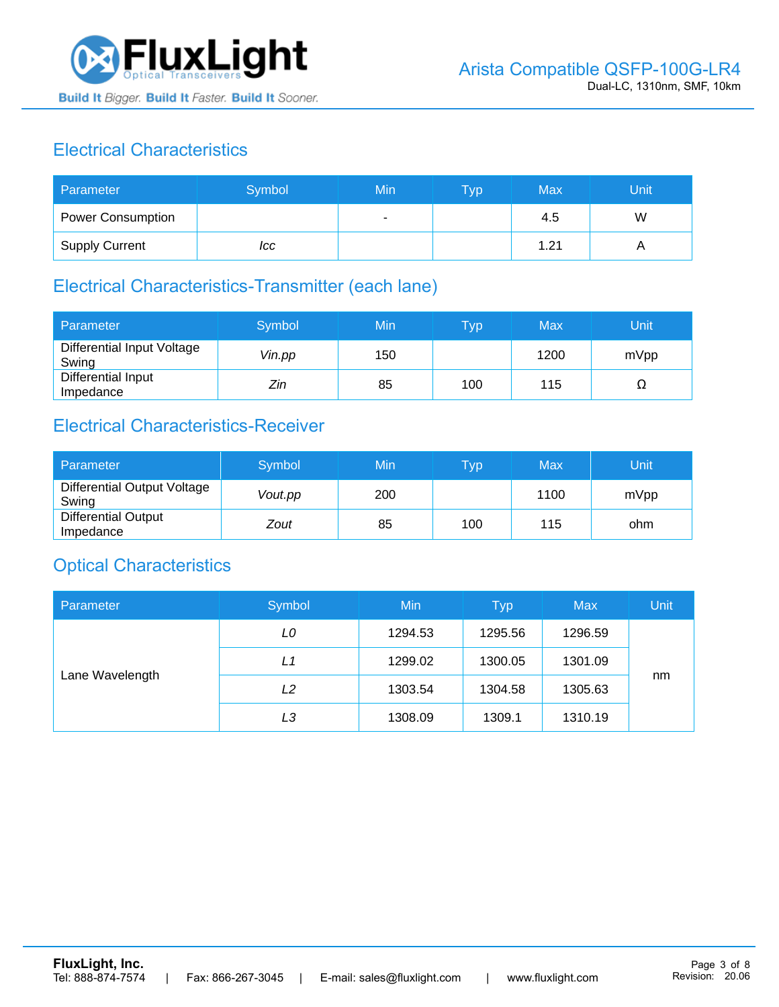

# Electrical Characteristics

| Parameter                | Symbol | Min | <b>Typ</b> | <b>Max</b> | Unit |
|--------------------------|--------|-----|------------|------------|------|
| <b>Power Consumption</b> |        |     |            | 4.5        | W    |
| <b>Supply Current</b>    | ICC    |     |            | 1.21       |      |

# Electrical Characteristics-Transmitter (each lane)

| Parameter                           | Symbol | Min | $\overline{\mathsf{T}}\mathsf{yp}$ | Max  | Unit |
|-------------------------------------|--------|-----|------------------------------------|------|------|
| Differential Input Voltage<br>Swing | Vin.pp | 150 |                                    | 1200 | mVpp |
| Differential Input<br>Impedance     | Zin    | 85  | 100                                | 115  | 77   |

## Electrical Characteristics-Receiver

| Parameter                               | Symbol  | Min | Typ | Max  | Unit |
|-----------------------------------------|---------|-----|-----|------|------|
| Differential Output Voltage<br>Swing    | Vout.pp | 200 |     | 1100 | mVpp |
| <b>Differential Output</b><br>Impedance | Zout    | 85  | 100 | 115  | ohm  |

## Optical Characteristics

| Parameter       | Symbol | Min     | <b>Typ</b> | <b>Max</b> | Unit |
|-----------------|--------|---------|------------|------------|------|
| Lane Wavelength | LO     | 1294.53 | 1295.56    | 1296.59    |      |
|                 | L1     | 1299.02 | 1300.05    | 1301.09    |      |
|                 | L2     | 1303.54 | 1304.58    | 1305.63    | nm   |
|                 | LЗ     | 1308.09 | 1309.1     | 1310.19    |      |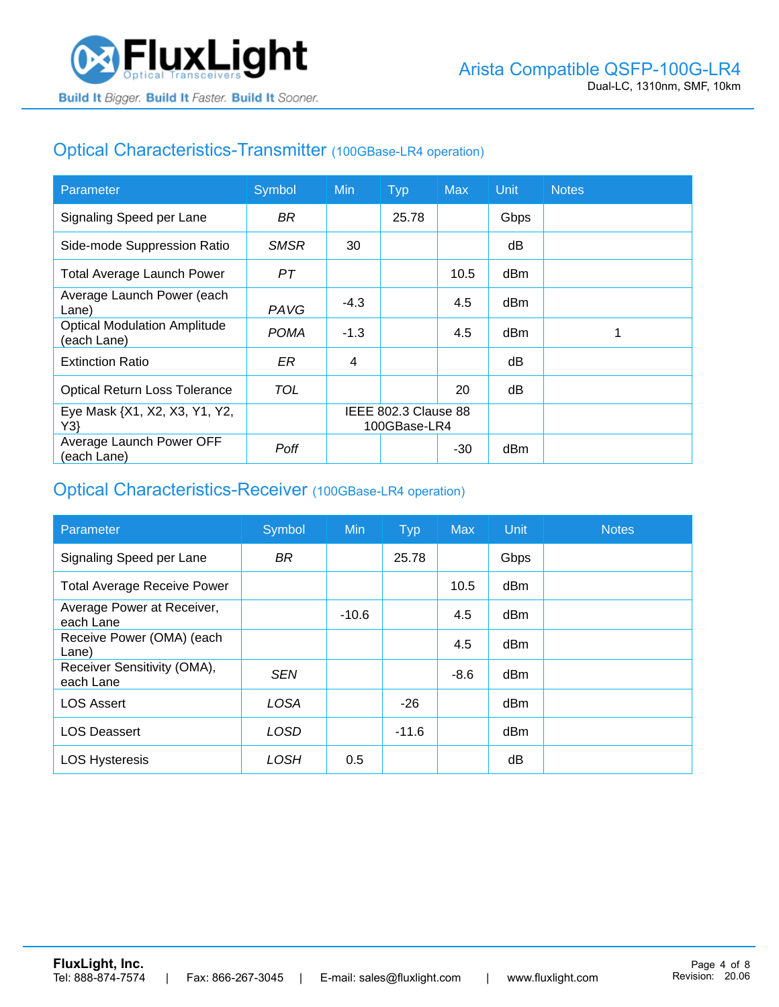## Optical Characteristics-Transmitter (100GBase-LR4 operation)

| Parameter                                          | Symbol      | Min                                  | <b>Typ</b> | <b>Max</b> | Unit | <b>Notes</b> |
|----------------------------------------------------|-------------|--------------------------------------|------------|------------|------|--------------|
| Signaling Speed per Lane                           | BR.         |                                      | 25.78      |            | Gbps |              |
| Side-mode Suppression Ratio                        | <b>SMSR</b> | 30                                   |            |            | dB   |              |
| <b>Total Average Launch Power</b>                  | PТ          |                                      |            | 10.5       | dBm  |              |
| Average Launch Power (each<br>Lane)                | PAVG        | $-4.3$                               |            | 4.5        | dBm  |              |
| <b>Optical Modulation Amplitude</b><br>(each Lane) | <b>POMA</b> | $-1.3$                               |            | 4.5        | dBm  |              |
| <b>Extinction Ratio</b>                            | ER          | 4                                    |            |            | dΒ   |              |
| <b>Optical Return Loss Tolerance</b>               | TOL         |                                      |            | 20         | dB   |              |
| Eye Mask {X1, X2, X3, Y1, Y2,<br>Y3                |             | IEEE 802.3 Clause 88<br>100GBase-LR4 |            |            |      |              |
| Average Launch Power OFF<br>(each Lane)            | Poff        |                                      |            | -30        | dBm  |              |

#### Optical Characteristics-Receiver (100GBase-LR4 operation)

| Parameter                                | Symbol      | <b>Min</b> | <b>Typ</b> | <b>Max</b> | Unit            | <b>Notes</b> |
|------------------------------------------|-------------|------------|------------|------------|-----------------|--------------|
| Signaling Speed per Lane                 | <b>BR</b>   |            | 25.78      |            | Gbps            |              |
| <b>Total Average Receive Power</b>       |             |            |            | 10.5       | dBm             |              |
| Average Power at Receiver,<br>each Lane  |             | $-10.6$    |            | 4.5        | dBm             |              |
| Receive Power (OMA) (each<br>Lane)       |             |            |            | 4.5        | dBm             |              |
| Receiver Sensitivity (OMA),<br>each Lane | <b>SEN</b>  |            |            | $-8.6$     | dB <sub>m</sub> |              |
| <b>LOS Assert</b>                        | <b>LOSA</b> |            | $-26$      |            | dBm             |              |
| <b>LOS Deassert</b>                      | <b>LOSD</b> |            | $-11.6$    |            | dBm             |              |
| <b>LOS Hysteresis</b>                    | LOSH        | 0.5        |            |            | dB              |              |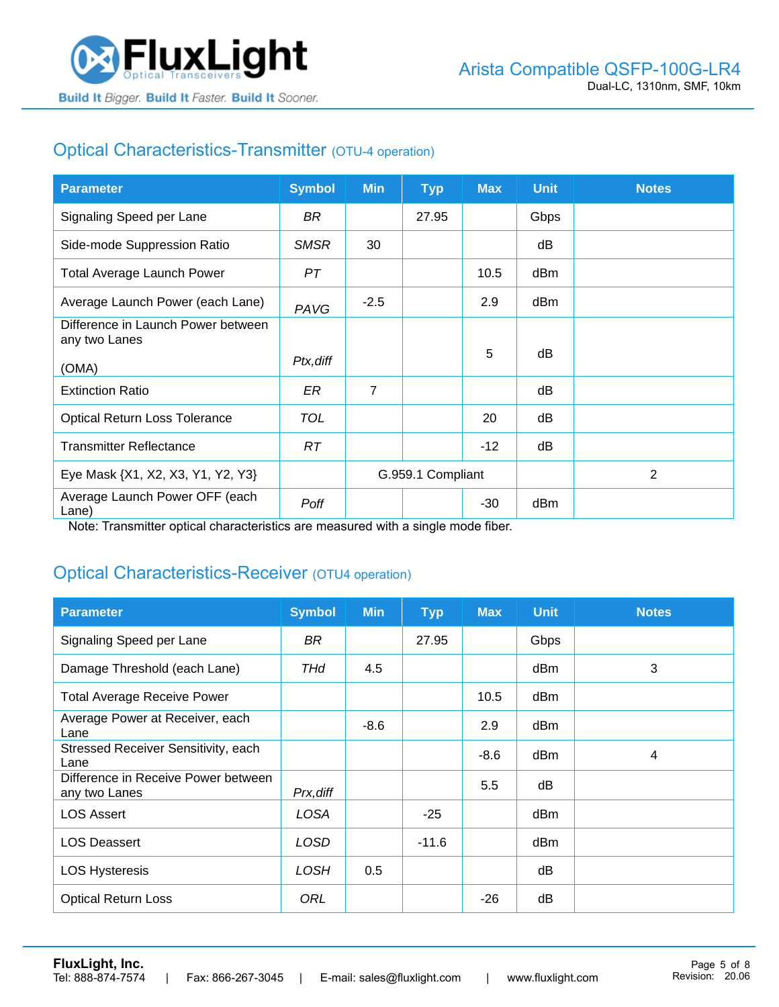

# Optical Characteristics-Transmitter (OTU-4 operation)

| <b>Parameter</b>                                    | <b>Symbol</b> | <b>Min</b>        | <b>Typ</b> | <b>Max</b> | <b>Unit</b> | <b>Notes</b>   |
|-----------------------------------------------------|---------------|-------------------|------------|------------|-------------|----------------|
| Signaling Speed per Lane                            | BR            |                   | 27.95      |            | Gbps        |                |
| Side-mode Suppression Ratio                         | <b>SMSR</b>   | 30                |            |            | dB          |                |
| <b>Total Average Launch Power</b>                   | PT            |                   |            | 10.5       | dBm         |                |
| Average Launch Power (each Lane)                    | PAVG          | $-2.5$            |            | 2.9        | dBm         |                |
| Difference in Launch Power between<br>any two Lanes |               |                   |            |            |             |                |
| (OMA)                                               | Ptx, diff     |                   |            | 5          | dB          |                |
| <b>Extinction Ratio</b>                             | ER            | $\overline{7}$    |            |            | dB          |                |
| <b>Optical Return Loss Tolerance</b>                | TOL           |                   |            | 20         | dB          |                |
| <b>Transmitter Reflectance</b>                      | RT.           |                   |            | $-12$      | dB          |                |
| Eye Mask {X1, X2, X3, Y1, Y2, Y3}                   |               | G.959.1 Compliant |            |            |             | $\overline{2}$ |
| Average Launch Power OFF (each<br>Lane)             | Poff          |                   |            | -30        | dBm         |                |

Note: Transmitter optical characteristics are measured with a single mode fiber.

## Optical Characteristics-Receiver (OTU4 operation)

| <b>Parameter</b>                                     | <b>Symbol</b> | <b>Min</b> | <b>Typ</b> | <b>Max</b> | <b>Unit</b> | <b>Notes</b> |
|------------------------------------------------------|---------------|------------|------------|------------|-------------|--------------|
| Signaling Speed per Lane                             | BR            |            | 27.95      |            | Gbps        |              |
| Damage Threshold (each Lane)                         | THd           | 4.5        |            |            | dBm         | 3            |
| <b>Total Average Receive Power</b>                   |               |            |            | 10.5       | dBm         |              |
| Average Power at Receiver, each<br>Lane              |               | $-8.6$     |            | 2.9        | dBm         |              |
| Stressed Receiver Sensitivity, each<br>Lane          |               |            |            | $-8.6$     | dBm         | 4            |
| Difference in Receive Power between<br>any two Lanes | Prx, diff     |            |            | 5.5        | dB          |              |
| <b>LOS Assert</b>                                    | LOSA          |            | $-25$      |            | dBm         |              |
| <b>LOS Deassert</b>                                  | <b>LOSD</b>   |            | $-11.6$    |            | dBm         |              |
| <b>LOS Hysteresis</b>                                | LOSH          | 0.5        |            |            | dB          |              |
| <b>Optical Return Loss</b>                           | ORL           |            |            | $-26$      | dB          |              |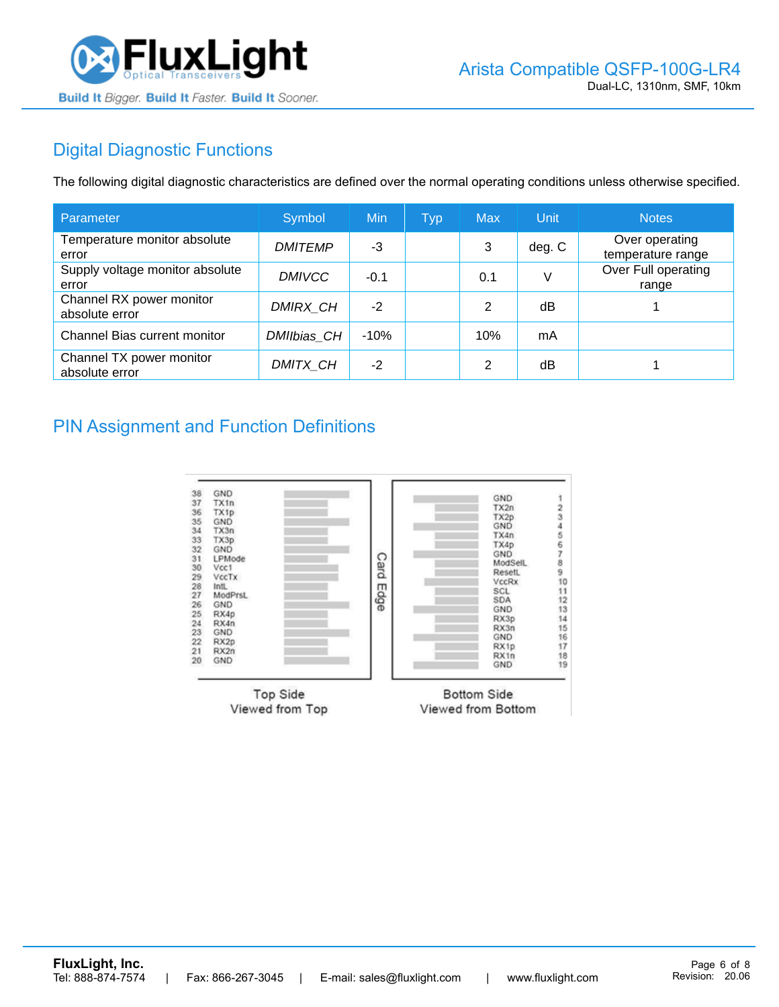

# Digital Diagnostic Functions

The following digital diagnostic characteristics are defined over the normal operating conditions unless otherwise specified.

| Parameter                                  | Symbol         | Min    | <b>Typ</b> | <b>Max</b> | Unit   | <b>Notes</b>                        |
|--------------------------------------------|----------------|--------|------------|------------|--------|-------------------------------------|
| Temperature monitor absolute<br>error      | <b>DMITEMP</b> | -3     |            | 3          | deg. C | Over operating<br>temperature range |
| Supply voltage monitor absolute<br>error   | <b>DMIVCC</b>  | $-0.1$ |            | 0.1        | V      | Over Full operating<br>range        |
| Channel RX power monitor<br>absolute error | DMIRX_CH       | $-2$   |            | 2          | dB     |                                     |
| Channel Bias current monitor               | DMIIbias CH    | $-10%$ |            | 10%        | mA     |                                     |
| Channel TX power monitor<br>absolute error | DMITX CH       | $-2$   |            | 2          | dB     |                                     |

#### PIN Assignment and Function Definitions

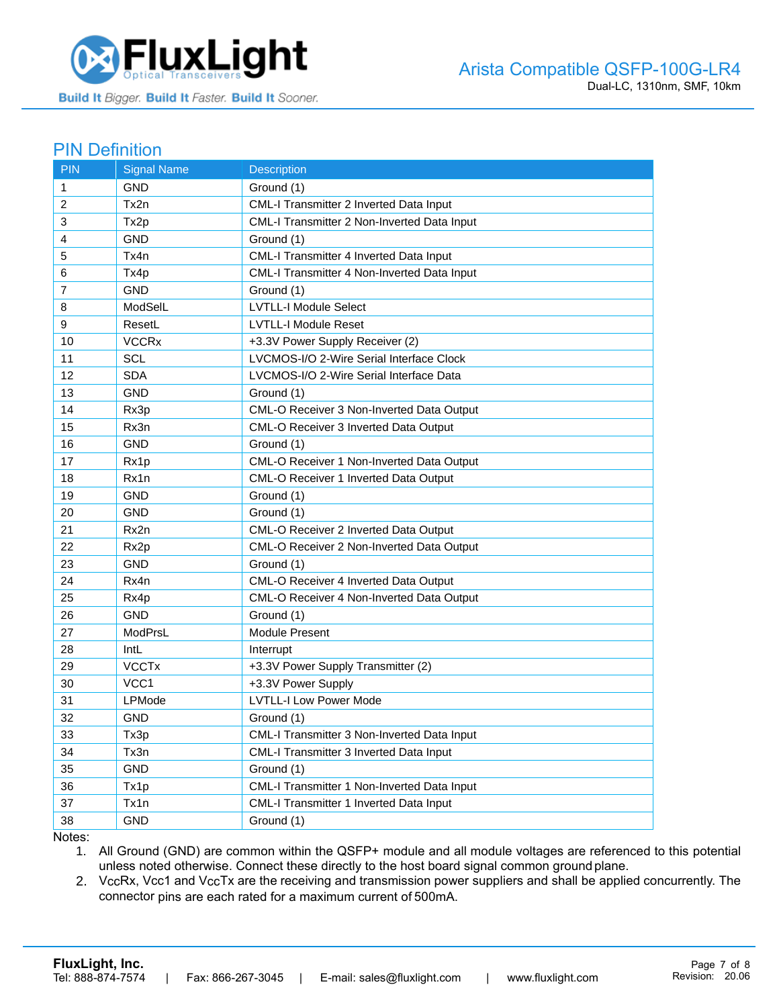

#### PIN Definition

| <b>PIN</b>   | <b>Signal Name</b> | <b>Description</b>                          |
|--------------|--------------------|---------------------------------------------|
| $\mathbf{1}$ | <b>GND</b>         | Ground (1)                                  |
| 2            | Tx2n               | CML-I Transmitter 2 Inverted Data Input     |
| 3            | Tx2p               | CML-I Transmitter 2 Non-Inverted Data Input |
| 4            | <b>GND</b>         | Ground (1)                                  |
| 5            | Tx4n               | CML-I Transmitter 4 Inverted Data Input     |
| 6            | Tx4p               | CML-I Transmitter 4 Non-Inverted Data Input |
| 7            | <b>GND</b>         | Ground (1)                                  |
| 8            | ModSelL            | <b>LVTLL-I Module Select</b>                |
| 9            | ResetL             | <b>LVTLL-I Module Reset</b>                 |
| 10           | <b>VCCRx</b>       | +3.3V Power Supply Receiver (2)             |
| 11           | <b>SCL</b>         | LVCMOS-I/O 2-Wire Serial Interface Clock    |
| 12           | <b>SDA</b>         | LVCMOS-I/O 2-Wire Serial Interface Data     |
| 13           | <b>GND</b>         | Ground (1)                                  |
| 14           | Rx3p               | CML-O Receiver 3 Non-Inverted Data Output   |
| 15           | Rx3n               | CML-O Receiver 3 Inverted Data Output       |
| 16           | GND                | Ground (1)                                  |
| 17           | Rx1p               | CML-O Receiver 1 Non-Inverted Data Output   |
| 18           | Rx1n               | CML-O Receiver 1 Inverted Data Output       |
| 19           | <b>GND</b>         | Ground (1)                                  |
| 20           | <b>GND</b>         | Ground (1)                                  |
| 21           | Rx2n               | CML-O Receiver 2 Inverted Data Output       |
| 22           | Rx2p               | CML-O Receiver 2 Non-Inverted Data Output   |
| 23           | GND                | Ground (1)                                  |
| 24           | Rx4n               | CML-O Receiver 4 Inverted Data Output       |
| 25           | Rx4p               | CML-O Receiver 4 Non-Inverted Data Output   |
| 26           | <b>GND</b>         | Ground (1)                                  |
| 27           | ModPrsL            | Module Present                              |
| 28           | IntL               | Interrupt                                   |
| 29           | <b>VCCTx</b>       | +3.3V Power Supply Transmitter (2)          |
| 30           | VCC1               | +3.3V Power Supply                          |
| 31           | <b>LPMode</b>      | <b>LVTLL-I Low Power Mode</b>               |
| 32           | <b>GND</b>         | Ground (1)                                  |
| 33           | Tx3p               | CML-I Transmitter 3 Non-Inverted Data Input |
| 34           | Tx3n               | CML-I Transmitter 3 Inverted Data Input     |
| 35           | GND                | Ground (1)                                  |
| 36           | Tx1p               | CML-I Transmitter 1 Non-Inverted Data Input |
| 37           | Tx1n               | CML-I Transmitter 1 Inverted Data Input     |
| 38           | GND                | Ground (1)                                  |

Notes:

1. All Ground (GND) are common within the QSFP+ module and all module voltages are referenced to this potential unless noted otherwise. Connect these directly to the host board signal common ground plane.

2. VccRx, Vcc1 and VccTx are the receiving and transmission power suppliers and shall be applied concurrently. The connector pins are each rated for a maximum current of 500mA.